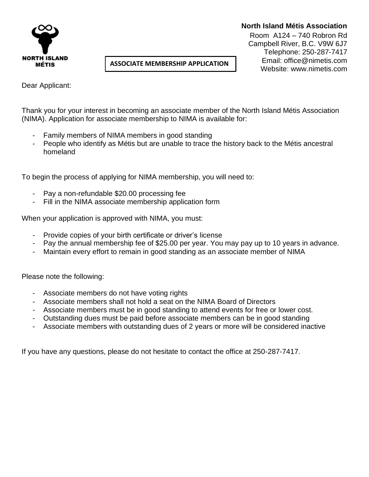

## **North Island Métis Association**

Room A124 – 740 Robron Rd Campbell River, B.C. V9W 6J7 Telephone: 250-287-7417 Email: office@nimetis.com Website: www.nimetis.com

Dear Applicant:

Thank you for your interest in becoming an associate member of the North Island Métis Association (NIMA). Application for associate membership to NIMA is available for:

**ASSOCIATE MEMBERSHIP APPLICATION** 

Family members of NIMA members in good standing

**FORM**

People who identify as Métis but are unable to trace the history back to the Métis ancestral homeland

To begin the process of applying for NIMA membership, you will need to:

- Pay a non-refundable \$20.00 processing fee
- Fill in the NIMA associate membership application form

When your application is approved with NIMA, you must:

- Provide copies of your birth certificate or driver's license
- Pay the annual membership fee of \$25.00 per year. You may pay up to 10 years in advance.
- Maintain every effort to remain in good standing as an associate member of NIMA

Please note the following:

- Associate members do not have voting rights
- Associate members shall not hold a seat on the NIMA Board of Directors
- Associate members must be in good standing to attend events for free or lower cost.
- Outstanding dues must be paid before associate members can be in good standing
- Associate members with outstanding dues of 2 years or more will be considered inactive

If you have any questions, please do not hesitate to contact the office at 250-287-7417.